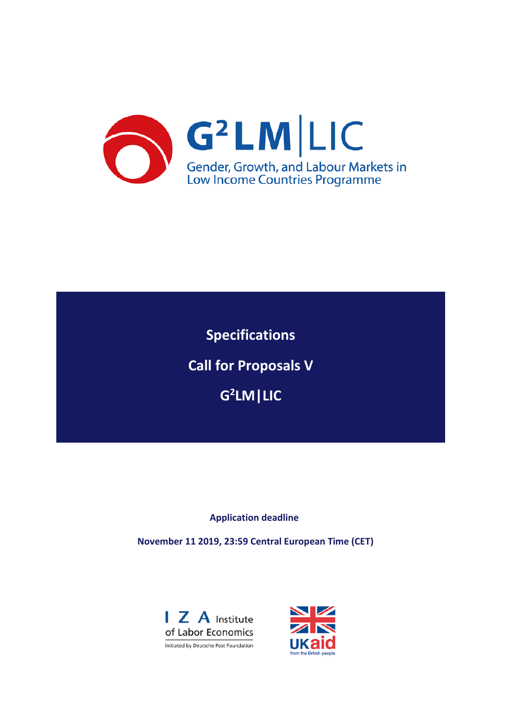

**Specifications Call for Proposals V G2 LM|LIC**

**Application deadline**

**November 11 2019, 23:59 Central European Time (CET)**



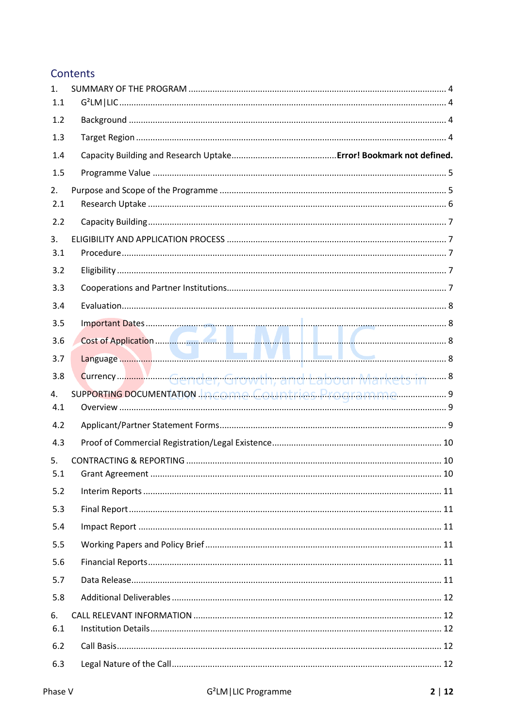# Contents

| $\mathbf{1}$ .<br>1.1 |  |
|-----------------------|--|
| 1.2                   |  |
| 1.3                   |  |
| 1.4                   |  |
| 1.5                   |  |
| 2.                    |  |
| 2.1                   |  |
| 2.2                   |  |
| 3.<br>3.1             |  |
| 3.2                   |  |
| 3.3                   |  |
| 3.4                   |  |
| 3.5                   |  |
| 3.6                   |  |
| 3.7                   |  |
| 3.8                   |  |
| 4.                    |  |
| 4.1                   |  |
| 4.2                   |  |
| 4.3                   |  |
| 5.<br>5.1             |  |
| 5.2                   |  |
| 5.3                   |  |
| 5.4                   |  |
| 5.5                   |  |
| 5.6                   |  |
| 5.7                   |  |
| 5.8                   |  |
| 6.<br>6.1             |  |
| 6.2                   |  |
| 6.3                   |  |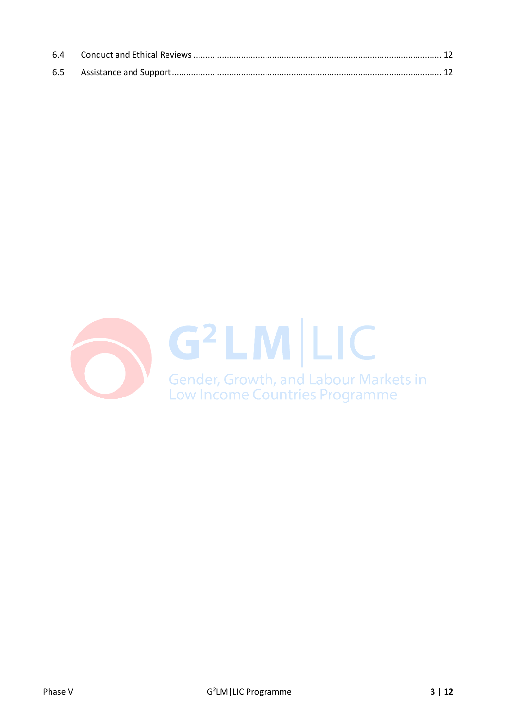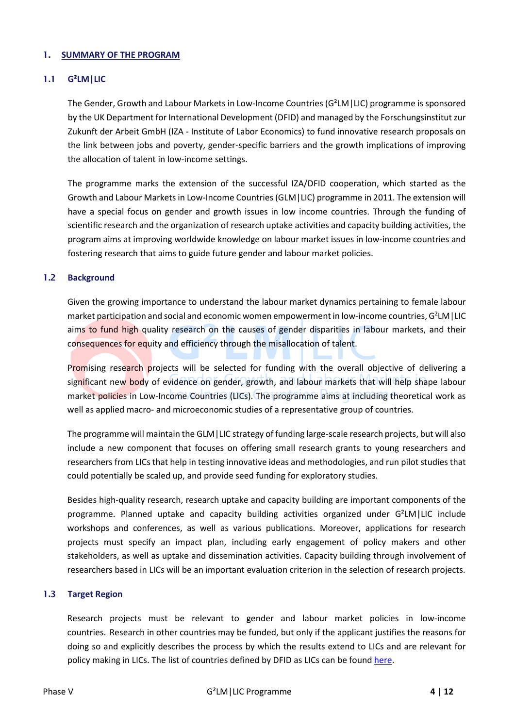#### <span id="page-3-0"></span>1. **SUMMARY OF THE PROGRAM**

### <span id="page-3-1"></span>1.1 **G²LM|LIC**

The Gender, Growth and Labour Markets in Low-Income Countries (G²LM|LIC) programme is sponsored by the UK Department for International Development (DFID) and managed by the Forschungsinstitut zur Zukunft der Arbeit GmbH (IZA - Institute of Labor Economics) to fund innovative research proposals on the link between jobs and poverty, gender-specific barriers and the growth implications of improving the allocation of talent in low-income settings.

The programme marks the extension of the successful IZA/DFID cooperation, which started as the Growth and Labour Markets in Low-Income Countries (GLM|LIC) programme in 2011. The extension will have a special focus on gender and growth issues in low income countries. Through the funding of scientific research and the organization of research uptake activities and capacity building activities, the program aims at improving worldwide knowledge on labour market issues in low-income countries and fostering research that aims to guide future gender and labour market policies.

#### <span id="page-3-2"></span>1.2 **Background**

Given the growing importance to understand the labour market dynamics pertaining to female labour market participation and social and economic women empowerment in low-income countries, G<sup>2</sup>LM | LIC aims to fund high quality research on the causes of gender disparities in labour markets, and their consequences for equity and efficiency through the misallocation of talent.

Promising research projects will be selected for funding with the overall objective of delivering a significant new body of evidence on gender, growth, and labour markets that will help shape labour market policies in Low-Income Countries (LICs). The programme aims at including theoretical work as well as applied macro- and microeconomic studies of a representative group of countries.

The programme will maintain the GLM|LIC strategy of funding large-scale research projects, but will also include a new component that focuses on offering small research grants to young researchers and researchers from LICs that help in testing innovative ideas and methodologies, and run pilot studies that could potentially be scaled up, and provide seed funding for exploratory studies.

Besides high-quality research, research uptake and capacity building are important components of the programme. Planned uptake and capacity building activities organized under G²LM|LIC include workshops and conferences, as well as various publications. Moreover, applications for research projects must specify an impact plan, including early engagement of policy makers and other stakeholders, as well as uptake and dissemination activities. Capacity building through involvement of researchers based in LICs will be an important evaluation criterion in the selection of research projects.

# <span id="page-3-3"></span>1.3 **Target Region**

Research projects must be relevant to gender and labour market policies in low-income countries. Research in other countries may be funded, but only if the applicant justifies the reasons for doing so and explicitly describes the process by which the results extend to LICs and are relevant for policy making in LICs. The list of countries defined by DFID as LICs can be foun[d here.](https://glm-lic.iza.org/call-phase-iv/list-of-lic/)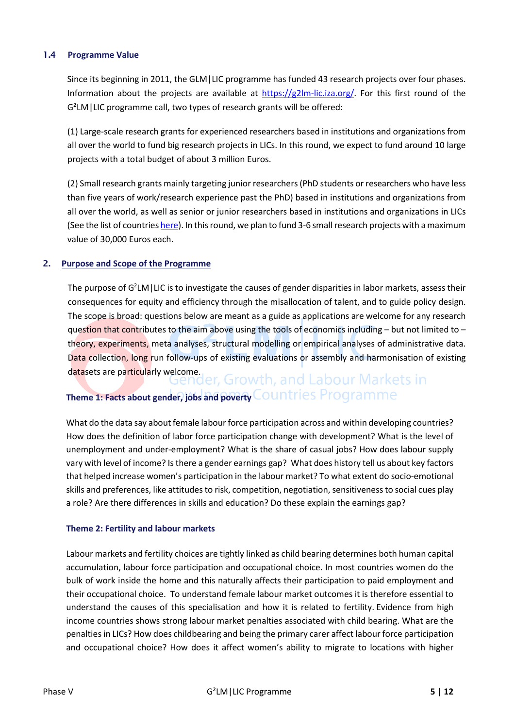# <span id="page-4-0"></span>1.4 **Programme Value**

Since its beginning in 2011, the GLM|LIC programme has funded 43 research projects over four phases. Information about the projects are available at  $\frac{https://g2lm-lic.iza.org/}{https://g2lm-lic.iza.org/}$ . For this first round of the G²LM|LIC programme call, two types of research grants will be offered:

(1) Large-scale research grants for experienced researchers based in institutions and organizations from all over the world to fund big research projects in LICs. In this round, we expect to fund around 10 large projects with a total budget of about 3 million Euros.

(2) Small research grants mainly targeting junior researchers (PhD students or researchers who have less than five years of work/research experience past the PhD) based in institutions and organizations from all over the world, as well as senior or junior researchers based in institutions and organizations in LICs (See the list of countrie[s here\)](https://glm-lic.iza.org/call-phase-iv/list-of-lic/). In this round, we plan to fund 3-6 small research projects with a maximum value of 30,000 Euros each.

# <span id="page-4-1"></span>2. **Purpose and Scope of the Programme**

The purpose of  $G^2 LM$  | LIC is to investigate the causes of gender disparities in labor markets, assess their consequences for equity and efficiency through the misallocation of talent, and to guide policy design. The scope is broad: questions below are meant as a guide as applications are welcome for any research question that contributes to the aim above using the tools of economics including – but not limited to – theory, experiments, meta analyses, structural modelling or empirical analyses of administrative data. Data collection, long run follow-ups of existing evaluations or assembly and harmonisation of existing

# datasets are particularly welcome.<br>**GROBIT AND SERVING ADAPTS IN A SERVING A PROPERTY ART ARTICLE AND THE PARTICLE AT A PROPERTY AND FOR A PROPERTY Theme 1: Facts about gender, jobs and poverty Countries Programme**

What do the data say about female labour force participation across and within developing countries? How does the definition of labor force participation change with development? What is the level of unemployment and under-employment? What is the share of casual jobs? How does labour supply vary with level of income? Is there a gender earnings gap? What does history tell us about key factors that helped increase women's participation in the labour market? To what extent do socio-emotional skills and preferences, like attitudes to risk, competition, negotiation, sensitiveness to social cues play a role? Are there differences in skills and education? Do these explain the earnings gap?

#### **Theme 2: Fertility and labour markets**

Labour markets and fertility choices are tightly linked as child bearing determines both human capital accumulation, labour force participation and occupational choice. In most countries women do the bulk of work inside the home and this naturally affects their participation to paid employment and their occupational choice. To understand female labour market outcomes it is therefore essential to understand the causes of this specialisation and how it is related to fertility. Evidence from high income countries shows strong labour market penalties associated with child bearing. What are the penalties in LICs? How does childbearing and being the primary carer affect labour force participation and occupational choice? How does it affect women's ability to migrate to locations with higher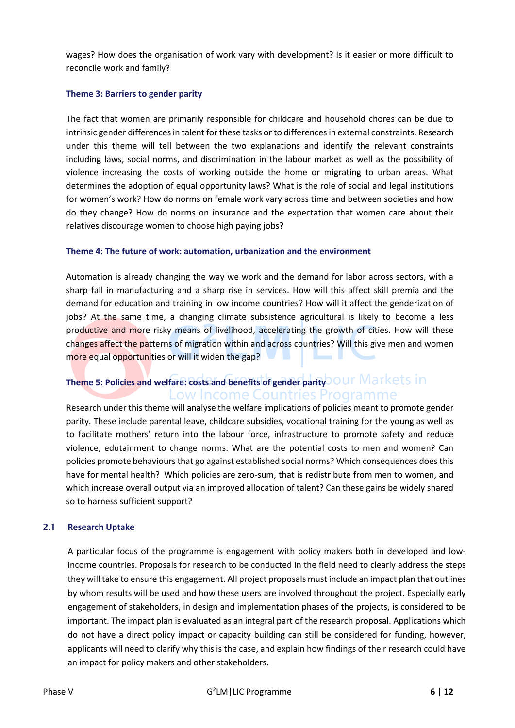wages? How does the organisation of work vary with development? Is it easier or more difficult to reconcile work and family?

## **Theme 3: Barriers to gender parity**

The fact that women are primarily responsible for childcare and household chores can be due to intrinsic gender differences in talent for these tasks or to differences in external constraints. Research under this theme will tell between the two explanations and identify the relevant constraints including laws, social norms, and discrimination in the labour market as well as the possibility of violence increasing the costs of working outside the home or migrating to urban areas. What determines the adoption of equal opportunity laws? What is the role of social and legal institutions for women's work? How do norms on female work vary across time and between societies and how do they change? How do norms on insurance and the expectation that women care about their relatives discourage women to choose high paying jobs?

# **Theme 4: The future of work: automation, urbanization and the environment**

Automation is already changing the way we work and the demand for labor across sectors, with a sharp fall in manufacturing and a sharp rise in services. How will this affect skill premia and the demand for education and training in low income countries? How will it affect the genderization of jobs? At the same time, a changing climate subsistence agricultural is likely to become a less productive and more risky means of livelihood, accelerating the growth of cities. How will these changes affect the patterns of migration within and across countries? Will this give men and women more equal opportunities or will it widen the gap?

# **Theme 5: Policies and welfare: costs and benefits of gender parity** Low Income Countries Programme

Research under this theme will analyse the welfare implications of policies meant to promote gender parity. These include parental leave, childcare subsidies, vocational training for the young as well as to facilitate mothers' return into the labour force, infrastructure to promote safety and reduce violence, edutainment to change norms. What are the potential costs to men and women? Can policies promote behaviours that go against established social norms? Which consequences does this have for mental health? Which policies are zero-sum, that is redistribute from men to women, and which increase overall output via an improved allocation of talent? Can these gains be widely shared so to harness sufficient support?

#### <span id="page-5-0"></span>2.1 **Research Uptake**

A particular focus of the programme is engagement with policy makers both in developed and lowincome countries. Proposals for research to be conducted in the field need to clearly address the steps they will take to ensure this engagement. All project proposals must include an impact plan that outlines by whom results will be used and how these users are involved throughout the project. Especially early engagement of stakeholders, in design and implementation phases of the projects, is considered to be important. The impact plan is evaluated as an integral part of the research proposal. Applications which do not have a direct policy impact or capacity building can still be considered for funding, however, applicants will need to clarify why this is the case, and explain how findings of their research could have an impact for policy makers and other stakeholders.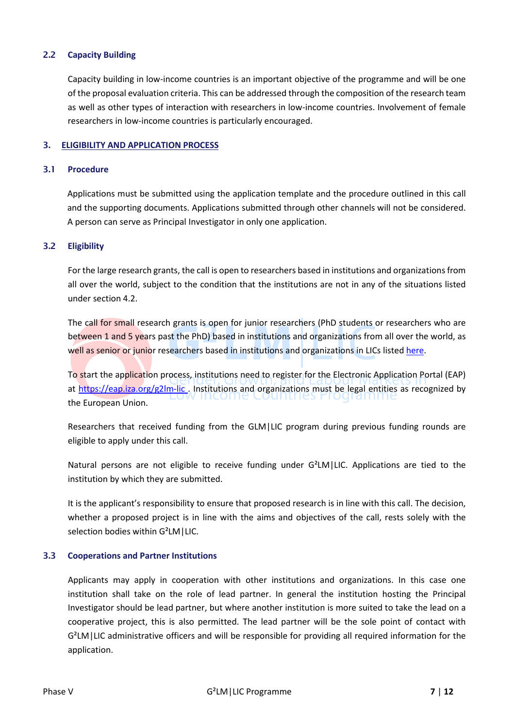# <span id="page-6-0"></span>2.2 **Capacity Building**

Capacity building in low-income countries is an important objective of the programme and will be one of the proposal evaluation criteria. This can be addressed through the composition of the research team as well as other types of interaction with researchers in low-income countries. Involvement of female researchers in low-income countries is particularly encouraged.

#### <span id="page-6-1"></span>3. **ELIGIBILITY AND APPLICATION PROCESS**

#### <span id="page-6-2"></span>3.1 **Procedure**

Applications must be submitted using the application template and the procedure outlined in this call and the supporting documents. Applications submitted through other channels will not be considered. A person can serve as Principal Investigator in only one application.

#### <span id="page-6-3"></span>3.2 **Eligibility**

For the large research grants, the call is open to researchers based in institutions and organizations from all over the world, subject to the condition that the institutions are not in any of the situations listed under section 4.2.

The call for small research grants is open for junior researchers (PhD students or researchers who are between 1 and 5 years past the PhD) based in institutions and organizations from all over the world, as well as senior or junior researchers based in institutions and organizations in LICs listed [here.](https://glm-lic.iza.org/call-phase-iv/list-of-lic/)

To start the application process, institutions need to register for the Electronic Application Portal (EAP) at<https://eap.iza.org/g2lm-lic>. Institutions and organizations must be legal entities as recognized by the European Union.

Researchers that received funding from the GLM|LIC program during previous funding rounds are eligible to apply under this call.

Natural persons are not eligible to receive funding under G²LM|LIC. Applications are tied to the institution by which they are submitted.

It is the applicant's responsibility to ensure that proposed research is in line with this call. The decision, whether a proposed project is in line with the aims and objectives of the call, rests solely with the selection bodies within G²LM|LIC.

#### <span id="page-6-4"></span>3.3 **Cooperations and Partner Institutions**

Applicants may apply in cooperation with other institutions and organizations. In this case one institution shall take on the role of lead partner. In general the institution hosting the Principal Investigator should be lead partner, but where another institution is more suited to take the lead on a cooperative project, this is also permitted. The lead partner will be the sole point of contact with G²LM|LIC administrative officers and will be responsible for providing all required information for the application.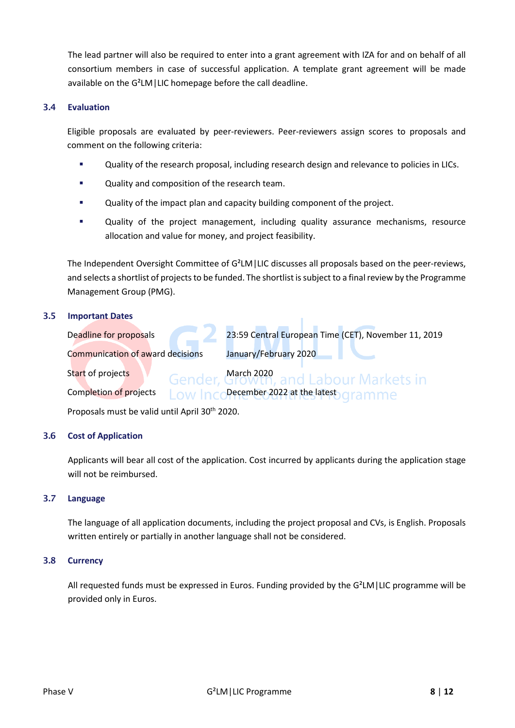The lead partner will also be required to enter into a grant agreement with IZA for and on behalf of all consortium members in case of successful application. A template grant agreement will be made available on the G²LM|LIC homepage before the call deadline.

## <span id="page-7-0"></span>3.4 **Evaluation**

Eligible proposals are evaluated by peer-reviewers. Peer-reviewers assign scores to proposals and comment on the following criteria:

- **EXECT** Quality of the research proposal, including research design and relevance to policies in LICs.
- **Quality and composition of the research team.**
- **EXEDENT** Quality of the impact plan and capacity building component of the project.
- **•** Quality of the project management, including quality assurance mechanisms, resource allocation and value for money, and project feasibility.

The Independent Oversight Committee of G²LM|LIC discusses all proposals based on the peer-reviews, and selects a shortlist of projects to be funded. The shortlist is subject to a final review by the Programme Management Group (PMG).

#### <span id="page-7-1"></span>3.5 **Important Dates**

Deadline for proposals 23:59 Central European Time (CET), November 11, 2019

and Labour Markets in

Communication of award decisions January/February 2020

Start of projects March 2020

Completion of projects  $\Box$  OW  $\Box$  December 2022 at the latest  $\Box$  ramme

Proposals must be valid until April 30<sup>th</sup> 2020.

# <span id="page-7-2"></span>3.6 **Cost of Application**

Applicants will bear all cost of the application. Cost incurred by applicants during the application stage will not be reimbursed.

#### <span id="page-7-3"></span>3.7 **Language**

The language of all application documents, including the project proposal and CVs, is English. Proposals written entirely or partially in another language shall not be considered.

#### <span id="page-7-4"></span>3.8 **Currency**

All requested funds must be expressed in Euros. Funding provided by the G²LM|LIC programme will be provided only in Euros.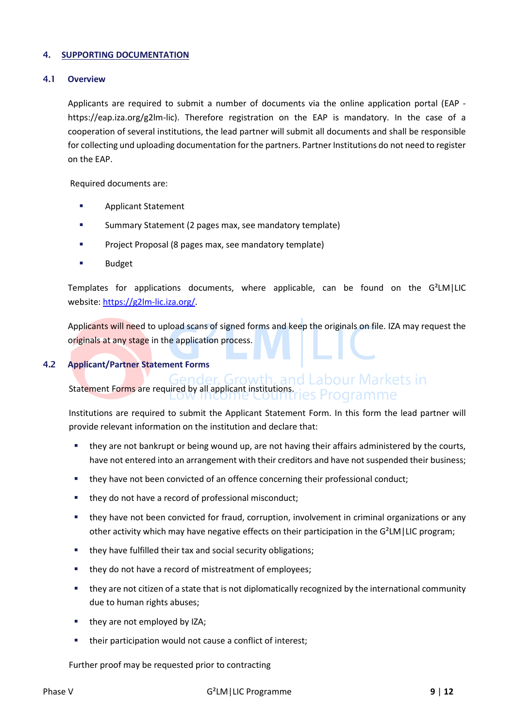#### <span id="page-8-0"></span>4. **SUPPORTING DOCUMENTATION**

#### <span id="page-8-1"></span>4.1 **Overview**

Applicants are required to submit a number of documents via the online application portal (EAP https://eap.iza.org/g2lm-lic). Therefore registration on the EAP is mandatory. In the case of a cooperation of several institutions, the lead partner will submit all documents and shall be responsible for collecting und uploading documentation for the partners. Partner Institutions do not need to register on the EAP.

Required documents are:

- **Applicant Statement**
- Summary Statement (2 pages max, see mandatory template)
- Project Proposal (8 pages max, see mandatory template)
- Budget

Templates for applications documents, where applicable, can be found on the G²LM|LIC website: [https://g2lm-lic.iza.org/.](https://g2lm-lic.iza.org/)

Applicants will need to upload scans of signed forms and keep the originals on file. IZA may request the originals at any stage in the application process.

## <span id="page-8-2"></span>4.2 **Applicant/Partner Statement Forms**

# Statement Forms are required by all applicant institutions.  $\frac{1}{2}$  Dreams means of Statement Forms are required by all applicant institutions. Programme

Institutions are required to submit the Applicant Statement Form. In this form the lead partner will provide relevant information on the institution and declare that:

- they are not bankrupt or being wound up, are not having their affairs administered by the courts, have not entered into an arrangement with their creditors and have not suspended their business;
- they have not been convicted of an offence concerning their professional conduct;
- they do not have a record of professional misconduct;
- they have not been convicted for fraud, corruption, involvement in criminal organizations or any other activity which may have negative effects on their participation in the G²LM|LIC program;
- **they have fulfilled their tax and social security obligations;**
- they do not have a record of mistreatment of employees;
- they are not citizen of a state that is not diplomatically recognized by the international community due to human rights abuses;
- they are not employed by IZA;
- their participation would not cause a conflict of interest;

Further proof may be requested prior to contracting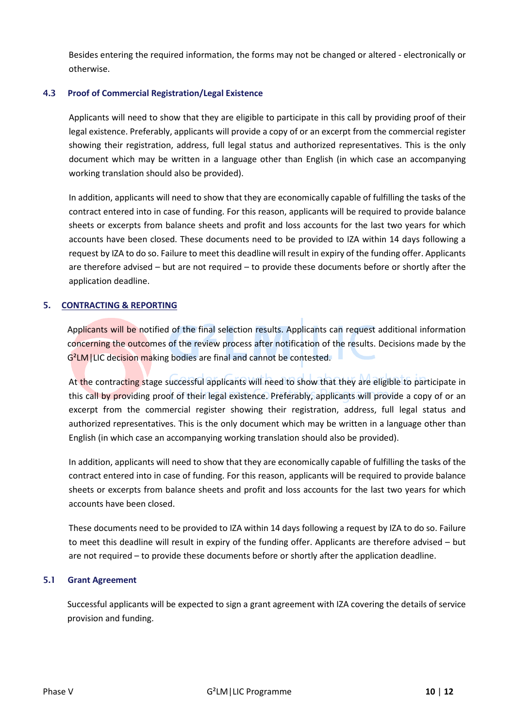Besides entering the required information, the forms may not be changed or altered - electronically or otherwise.

# <span id="page-9-0"></span>4.3 **Proof of Commercial Registration/Legal Existence**

Applicants will need to show that they are eligible to participate in this call by providing proof of their legal existence. Preferably, applicants will provide a copy of or an excerpt from the commercial register showing their registration, address, full legal status and authorized representatives. This is the only document which may be written in a language other than English (in which case an accompanying working translation should also be provided).

In addition, applicants will need to show that they are economically capable of fulfilling the tasks of the contract entered into in case of funding. For this reason, applicants will be required to provide balance sheets or excerpts from balance sheets and profit and loss accounts for the last two years for which accounts have been closed. These documents need to be provided to IZA within 14 days following a request by IZA to do so. Failure to meet this deadline will result in expiry of the funding offer. Applicants are therefore advised – but are not required – to provide these documents before or shortly after the application deadline.

# <span id="page-9-1"></span>5. **CONTRACTING & REPORTING**

Applicants will be notified of the final selection results. Applicants can request additional information concerning the outcomes of the review process after notification of the results. Decisions made by the G²LM|LIC decision making bodies are final and cannot be contested.

At the contracting stage successful applicants will need to show that they are eligible to participate in this call by providing proof of their legal existence. Preferably, applicants will provide a copy of or an excerpt from the commercial register showing their registration, address, full legal status and authorized representatives. This is the only document which may be written in a language other than English (in which case an accompanying working translation should also be provided).

In addition, applicants will need to show that they are economically capable of fulfilling the tasks of the contract entered into in case of funding. For this reason, applicants will be required to provide balance sheets or excerpts from balance sheets and profit and loss accounts for the last two years for which accounts have been closed.

These documents need to be provided to IZA within 14 days following a request by IZA to do so. Failure to meet this deadline will result in expiry of the funding offer. Applicants are therefore advised – but are not required – to provide these documents before or shortly after the application deadline.

#### <span id="page-9-2"></span>5.1 **Grant Agreement**

Successful applicants will be expected to sign a grant agreement with IZA covering the details of service provision and funding.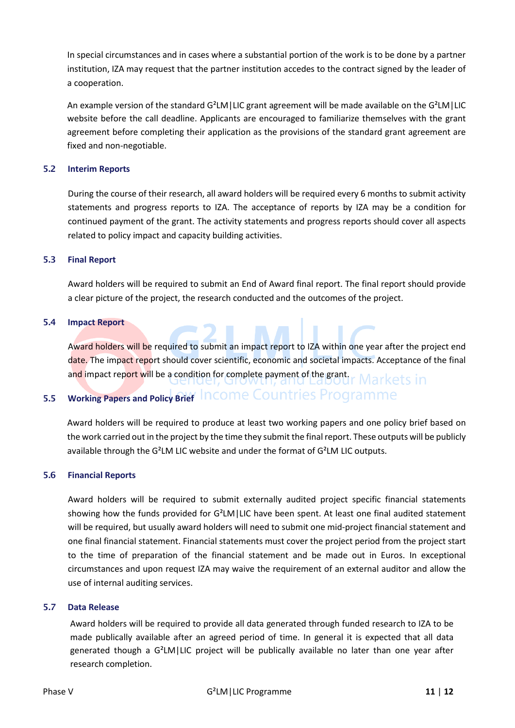In special circumstances and in cases where a substantial portion of the work is to be done by a partner institution, IZA may request that the partner institution accedes to the contract signed by the leader of a cooperation.

An example version of the standard  $G^2LM$ |LIC grant agreement will be made available on the  $G^2LM$ |LIC website before the call deadline. Applicants are encouraged to familiarize themselves with the grant agreement before completing their application as the provisions of the standard grant agreement are fixed and non-negotiable.

## <span id="page-10-0"></span>5.2 **Interim Reports**

During the course of their research, all award holders will be required every 6 months to submit activity statements and progress reports to IZA. The acceptance of reports by IZA may be a condition for continued payment of the grant. The activity statements and progress reports should cover all aspects related to policy impact and capacity building activities.

#### <span id="page-10-1"></span>5.3 **Final Report**

Award holders will be required to submit an End of Award final report. The final report should provide a clear picture of the project, the research conducted and the outcomes of the project.

#### <span id="page-10-2"></span>5.4 **Impact Report**

Award holders will be required to submit an impact report to IZA within one year after the project end date. The impact report should cover scientific, economic and societal impacts. Acceptance of the final and impact report will be a condition for complete payment of the grant. Markets in

# <span id="page-10-3"></span>5.5 **Working Papers and Policy Brief** Income Countries Programme

Award holders will be required to produce at least two working papers and one policy brief based on the work carried out in the project by the time they submit the final report. These outputs will be publicly available through the G²LM LIC website and under the format of G²LM LIC outputs.

#### <span id="page-10-4"></span>5.6 **Financial Reports**

Award holders will be required to submit externally audited project specific financial statements showing how the funds provided for G²LM|LIC have been spent. At least one final audited statement will be required, but usually award holders will need to submit one mid-project financial statement and one final financial statement. Financial statements must cover the project period from the project start to the time of preparation of the financial statement and be made out in Euros. In exceptional circumstances and upon request IZA may waive the requirement of an external auditor and allow the use of internal auditing services.

#### <span id="page-10-5"></span>5.7 **Data Release**

Award holders will be required to provide all data generated through funded research to IZA to be made publically available after an agreed period of time. In general it is expected that all data generated though a G²LM|LIC project will be publically available no later than one year after research completion.